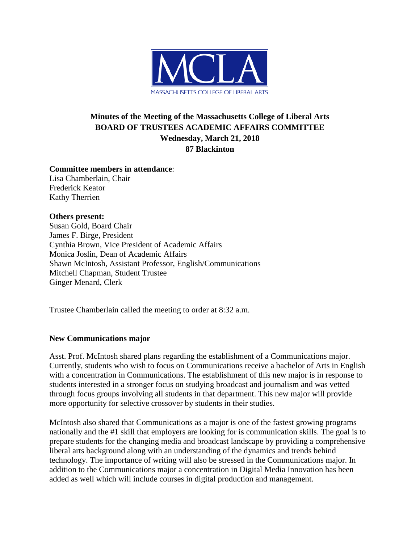

# **Minutes of the Meeting of the Massachusetts College of Liberal Arts BOARD OF TRUSTEES ACADEMIC AFFAIRS COMMITTEE Wednesday, March 21, 2018 87 Blackinton**

### **Committee members in attendance**:

Lisa Chamberlain, Chair Frederick Keator Kathy Therrien

## **Others present:**

Susan Gold, Board Chair James F. Birge, President Cynthia Brown, Vice President of Academic Affairs Monica Joslin, Dean of Academic Affairs Shawn McIntosh, Assistant Professor, English/Communications Mitchell Chapman, Student Trustee Ginger Menard, Clerk

Trustee Chamberlain called the meeting to order at 8:32 a.m.

# **New Communications major**

Asst. Prof. McIntosh shared plans regarding the establishment of a Communications major. Currently, students who wish to focus on Communications receive a bachelor of Arts in English with a concentration in Communications. The establishment of this new major is in response to students interested in a stronger focus on studying broadcast and journalism and was vetted through focus groups involving all students in that department. This new major will provide more opportunity for selective crossover by students in their studies.

McIntosh also shared that Communications as a major is one of the fastest growing programs nationally and the #1 skill that employers are looking for is communication skills. The goal is to prepare students for the changing media and broadcast landscape by providing a comprehensive liberal arts background along with an understanding of the dynamics and trends behind technology. The importance of writing will also be stressed in the Communications major. In addition to the Communications major a concentration in Digital Media Innovation has been added as well which will include courses in digital production and management.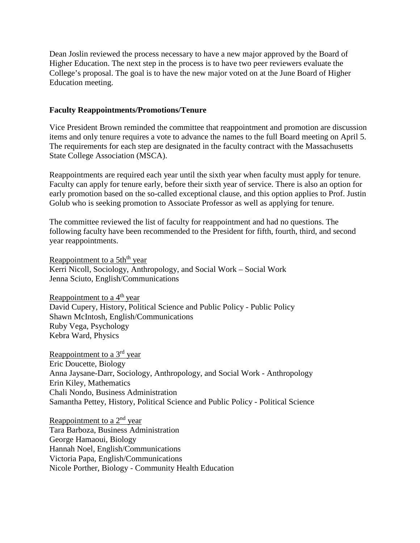Dean Joslin reviewed the process necessary to have a new major approved by the Board of Higher Education. The next step in the process is to have two peer reviewers evaluate the College's proposal. The goal is to have the new major voted on at the June Board of Higher Education meeting.

### **Faculty Reappointments/Promotions/Tenure**

Vice President Brown reminded the committee that reappointment and promotion are discussion items and only tenure requires a vote to advance the names to the full Board meeting on April 5. The requirements for each step are designated in the faculty contract with the Massachusetts State College Association (MSCA).

Reappointments are required each year until the sixth year when faculty must apply for tenure. Faculty can apply for tenure early, before their sixth year of service. There is also an option for early promotion based on the so-called exceptional clause, and this option applies to Prof. Justin Golub who is seeking promotion to Associate Professor as well as applying for tenure.

The committee reviewed the list of faculty for reappointment and had no questions. The following faculty have been recommended to the President for fifth, fourth, third, and second year reappointments.

Reappointment to a 5th<sup>th</sup> year Kerri Nicoll, Sociology, Anthropology, and Social Work – Social Work Jenna Sciuto, English/Communications

Reappointment to a  $4<sup>th</sup>$  year David Cupery, History, Political Science and Public Policy - Public Policy Shawn McIntosh, English/Communications Ruby Vega, Psychology Kebra Ward, Physics

Reappointment to a 3rd year Eric Doucette, Biology Anna Jaysane-Darr, Sociology, Anthropology, and Social Work - Anthropology Erin Kiley, Mathematics Chali Nondo, Business Administration Samantha Pettey, History, Political Science and Public Policy - Political Science

Reappointment to a  $2<sup>nd</sup>$  year Tara Barboza, Business Administration George Hamaoui, Biology Hannah Noel, English/Communications Victoria Papa, English/Communications Nicole Porther, Biology - Community Health Education